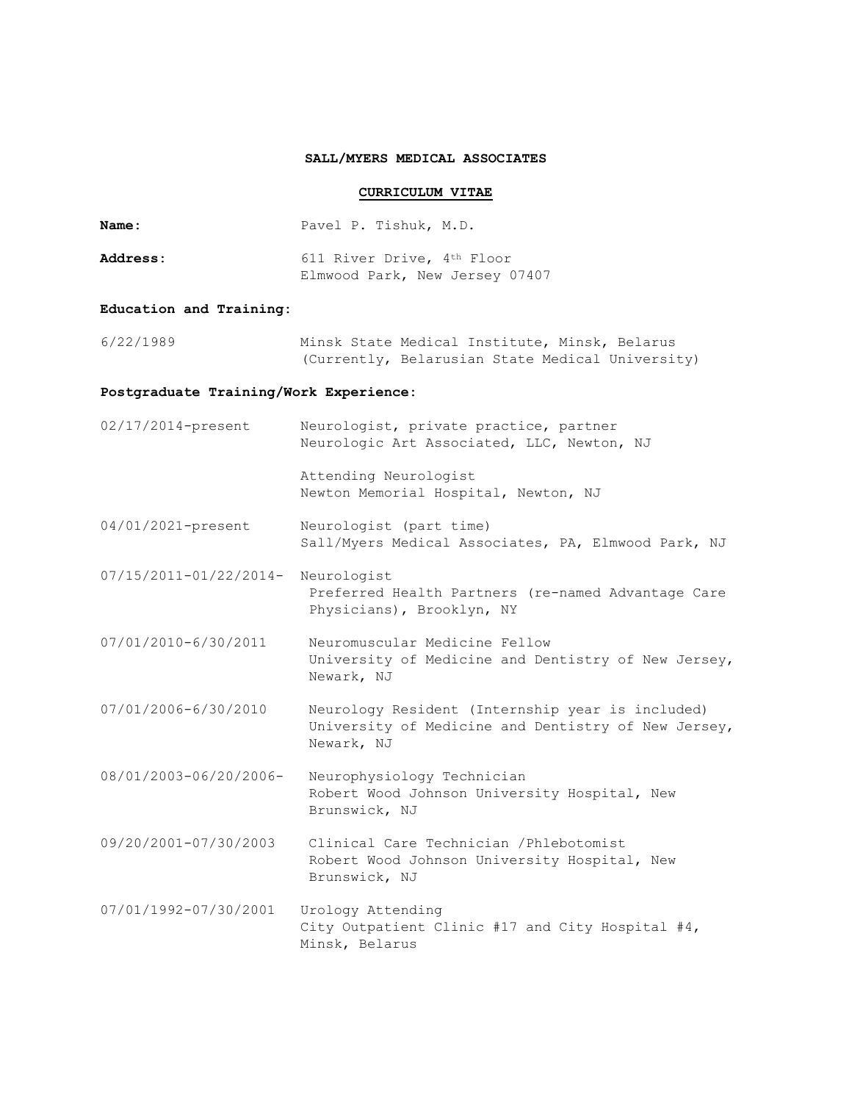### **SALL/MYERS MEDICAL ASSOCIATES**

# **CURRICULUM VITAE**

**Name:** Pavel P. Tishuk, M.D.

| <b>Address:</b> | 611 River Drive, 4th Floor     |
|-----------------|--------------------------------|
|                 | Elmwood Park, New Jersey 07407 |

# **Education and Training:**

6/22/1989 Minsk State Medical Institute, Minsk, Belarus (Currently, Belarusian State Medical University)

## **Postgraduate Training/Work Experience:**

| 02/17/2014-present          | Neurologist, private practice, partner<br>Neurologic Art Associated, LLC, Newton, NJ                                  |
|-----------------------------|-----------------------------------------------------------------------------------------------------------------------|
|                             | Attending Neurologist<br>Newton Memorial Hospital, Newton, NJ                                                         |
| 04/01/2021-present          | Neurologist (part time)<br>Sall/Myers Medical Associates, PA, Elmwood Park, NJ                                        |
| $07/15/2011 - 01/22/2014 -$ | Neurologist<br>Preferred Health Partners (re-named Advantage Care<br>Physicians), Brooklyn, NY                        |
| 07/01/2010-6/30/2011        | Neuromuscular Medicine Fellow<br>University of Medicine and Dentistry of New Jersey,<br>Newark, NJ                    |
| 07/01/2006-6/30/2010        | Neurology Resident (Internship year is included)<br>University of Medicine and Dentistry of New Jersey,<br>Newark, NJ |
| 08/01/2003-06/20/2006-      | Neurophysiology Technician<br>Robert Wood Johnson University Hospital, New<br>Brunswick, NJ                           |
| 09/20/2001-07/30/2003       | Clinical Care Technician / Phlebotomist<br>Robert Wood Johnson University Hospital, New<br>Brunswick, NJ              |
| 07/01/1992-07/30/2001       | Urology Attending<br>City Outpatient Clinic #17 and City Hospital #4,<br>Minsk, Belarus                               |